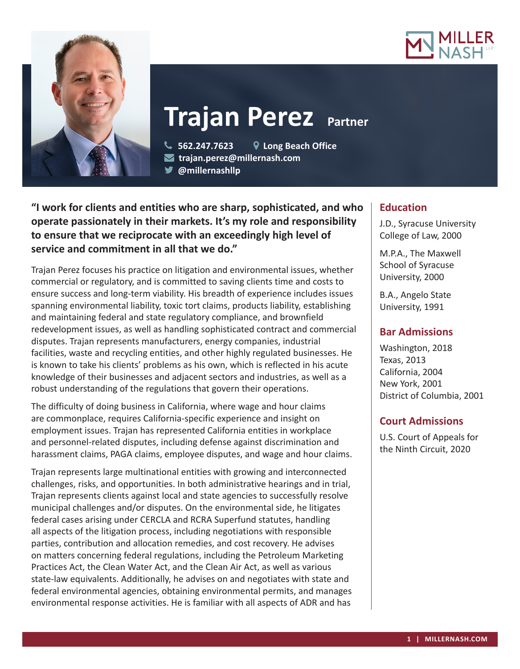



# **Trajan Perez Partner**

 **562.247.7623 Long Beach Office trajan.perez@millernash.com** 

**@millernashllp** 

# **"I work for clients and entities who are sharp, sophisticated, and who operate passionately in their markets. It's my role and responsibility to ensure that we reciprocate with an exceedingly high level of service and commitment in all that we do."**

Trajan Perez focuses his practice on litigation and environmental issues, whether commercial or regulatory, and is committed to saving clients time and costs to ensure success and long-term viability. His breadth of experience includes issues spanning environmental liability, toxic tort claims, products liability, establishing and maintaining federal and state regulatory compliance, and brownfield redevelopment issues, as well as handling sophisticated contract and commercial disputes. Trajan represents manufacturers, energy companies, industrial facilities, waste and recycling entities, and other highly regulated businesses. He is known to take his clients' problems as his own, which is reflected in his acute knowledge of their businesses and adjacent sectors and industries, as well as a robust understanding of the regulations that govern their operations.

The difficulty of doing business in California, where wage and hour claims are commonplace, requires California-specific experience and insight on employment issues. Trajan has represented California entities in workplace and personnel-related disputes, including defense against discrimination and harassment claims, PAGA claims, employee disputes, and wage and hour claims.

Trajan represents large multinational entities with growing and interconnected challenges, risks, and opportunities. In both administrative hearings and in trial, Trajan represents clients against local and state agencies to successfully resolve municipal challenges and/or disputes. On the environmental side, he litigates federal cases arising under CERCLA and RCRA Superfund statutes, handling all aspects of the litigation process, including negotiations with responsible parties, contribution and allocation remedies, and cost recovery. He advises on matters concerning federal regulations, including the Petroleum Marketing Practices Act, the Clean Water Act, and the Clean Air Act, as well as various state-law equivalents. Additionally, he advises on and negotiates with state and federal environmental agencies, obtaining environmental permits, and manages environmental response activities. He is familiar with all aspects of ADR and has

# **Education**

J.D., Syracuse University College of Law, 2000

M.P.A., The Maxwell School of Syracuse University, 2000

B.A., Angelo State University, 1991

## **Bar Admissions**

Washington, 2018 Texas, 2013 California, 2004 New York, 2001 District of Columbia, 2001

# **Court Admissions**

U.S. Court of Appeals for the Ninth Circuit, 2020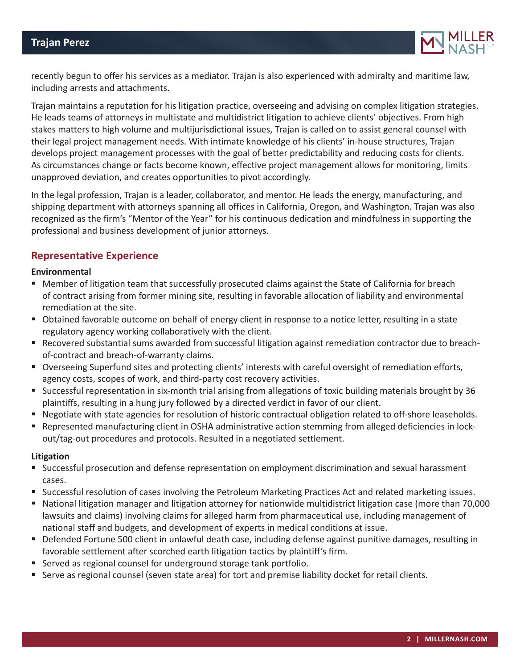

recently begun to offer his services as a mediator. Trajan is also experienced with admiralty and maritime law, including arrests and attachments.

Trajan maintains a reputation for his litigation practice, overseeing and advising on complex litigation strategies. He leads teams of attorneys in multistate and multidistrict litigation to achieve clients' objectives. From high stakes matters to high volume and multijurisdictional issues, Trajan is called on to assist general counsel with their legal project management needs. With intimate knowledge of his clients' in-house structures, Trajan develops project management processes with the goal of better predictability and reducing costs for clients. As circumstances change or facts become known, effective project management allows for monitoring, limits unapproved deviation, and creates opportunities to pivot accordingly.

In the legal profession, Trajan is a leader, collaborator, and mentor. He leads the energy, manufacturing, and shipping department with attorneys spanning all offices in California, Oregon, and Washington. Trajan was also recognized as the firm's "Mentor of the Year" for his continuous dedication and mindfulness in supporting the professional and business development of junior attorneys.

### **Representative Experience**

#### **Environmental**

- Member of litigation team that successfully prosecuted claims against the State of California for breach of contract arising from former mining site, resulting in favorable allocation of liability and environmental remediation at the site.
- Obtained favorable outcome on behalf of energy client in response to a notice letter, resulting in a state regulatory agency working collaboratively with the client.
- Recovered substantial sums awarded from successful litigation against remediation contractor due to breachof-contract and breach-of-warranty claims.
- Overseeing Superfund sites and protecting clients' interests with careful oversight of remediation efforts, agency costs, scopes of work, and third-party cost recovery activities.
- Successful representation in six-month trial arising from allegations of toxic building materials brought by 36 plaintiffs, resulting in a hung jury followed by a directed verdict in favor of our client.
- Negotiate with state agencies for resolution of historic contractual obligation related to off-shore leaseholds.
- Represented manufacturing client in OSHA administrative action stemming from alleged deficiencies in lockout/tag-out procedures and protocols. Resulted in a negotiated settlement.

#### **Litigation**

- Successful prosecution and defense representation on employment discrimination and sexual harassment cases.
- Successful resolution of cases involving the Petroleum Marketing Practices Act and related marketing issues.
- National litigation manager and litigation attorney for nationwide multidistrict litigation case (more than 70,000 lawsuits and claims) involving claims for alleged harm from pharmaceutical use, including management of national staff and budgets, and development of experts in medical conditions at issue.
- Defended Fortune 500 client in unlawful death case, including defense against punitive damages, resulting in favorable settlement after scorched earth litigation tactics by plaintiff's firm.
- Served as regional counsel for underground storage tank portfolio.
- Serve as regional counsel (seven state area) for tort and premise liability docket for retail clients.